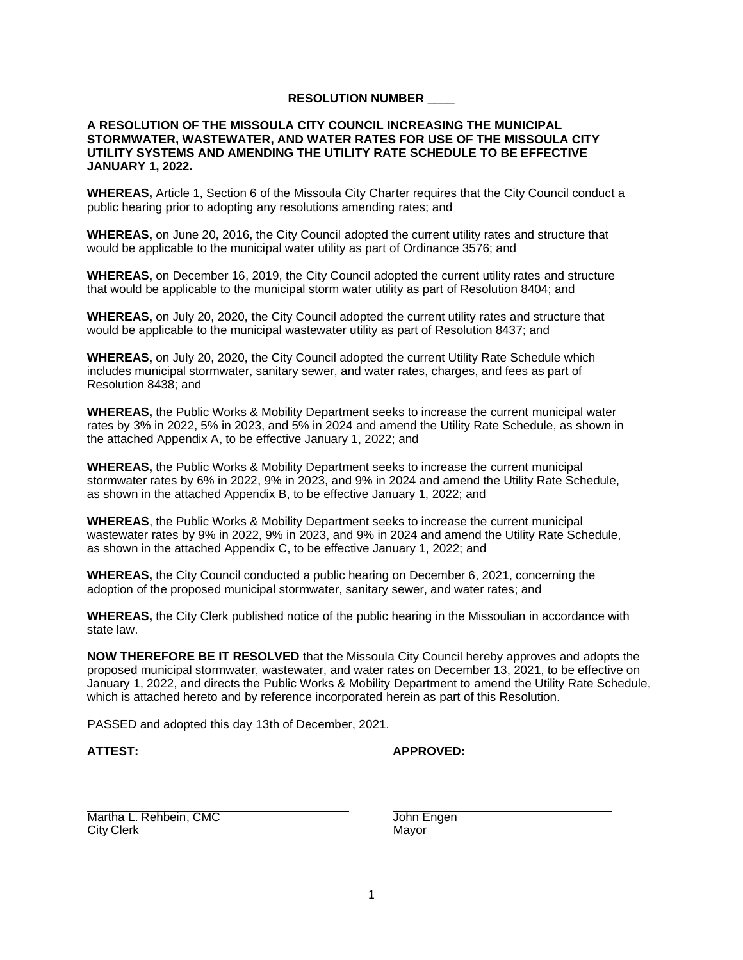## **RESOLUTION NUMBER \_\_\_\_**

## **A RESOLUTION OF THE MISSOULA CITY COUNCIL INCREASING THE MUNICIPAL STORMWATER, WASTEWATER, AND WATER RATES FOR USE OF THE MISSOULA CITY UTILITY SYSTEMS AND AMENDING THE UTILITY RATE SCHEDULE TO BE EFFECTIVE JANUARY 1, 2022.**

**WHEREAS,** Article 1, Section 6 of the Missoula City Charter requires that the City Council conduct a public hearing prior to adopting any resolutions amending rates; and

**WHEREAS,** on June 20, 2016, the City Council adopted the current utility rates and structure that would be applicable to the municipal water utility as part of Ordinance 3576; and

**WHEREAS,** on December 16, 2019, the City Council adopted the current utility rates and structure that would be applicable to the municipal storm water utility as part of Resolution 8404; and

**WHEREAS,** on July 20, 2020, the City Council adopted the current utility rates and structure that would be applicable to the municipal wastewater utility as part of Resolution 8437; and

**WHEREAS,** on July 20, 2020, the City Council adopted the current Utility Rate Schedule which includes municipal stormwater, sanitary sewer, and water rates, charges, and fees as part of Resolution 8438; and

**WHEREAS,** the Public Works & Mobility Department seeks to increase the current municipal water rates by 3% in 2022, 5% in 2023, and 5% in 2024 and amend the Utility Rate Schedule, as shown in the attached Appendix A, to be effective January 1, 2022; and

**WHEREAS,** the Public Works & Mobility Department seeks to increase the current municipal stormwater rates by 6% in 2022, 9% in 2023, and 9% in 2024 and amend the Utility Rate Schedule, as shown in the attached Appendix B, to be effective January 1, 2022; and

**WHEREAS**, the Public Works & Mobility Department seeks to increase the current municipal wastewater rates by 9% in 2022, 9% in 2023, and 9% in 2024 and amend the Utility Rate Schedule, as shown in the attached Appendix C, to be effective January 1, 2022; and

**WHEREAS,** the City Council conducted a public hearing on December 6, 2021, concerning the adoption of the proposed municipal stormwater, sanitary sewer, and water rates; and

**WHEREAS,** the City Clerk published notice of the public hearing in the Missoulian in accordance with state law.

**NOW THEREFORE BE IT RESOLVED** that the Missoula City Council hereby approves and adopts the proposed municipal stormwater, wastewater, and water rates on December 13, 2021, to be effective on January 1, 2022, and directs the Public Works & Mobility Department to amend the Utility Rate Schedule, which is attached hereto and by reference incorporated herein as part of this Resolution.

PASSED and adopted this day 13th of December, 2021.

## **ATTEST: APPROVED:**

Martha L. Rehbein, CMC **Canadian CMC** John Engen City Clerk Mayor